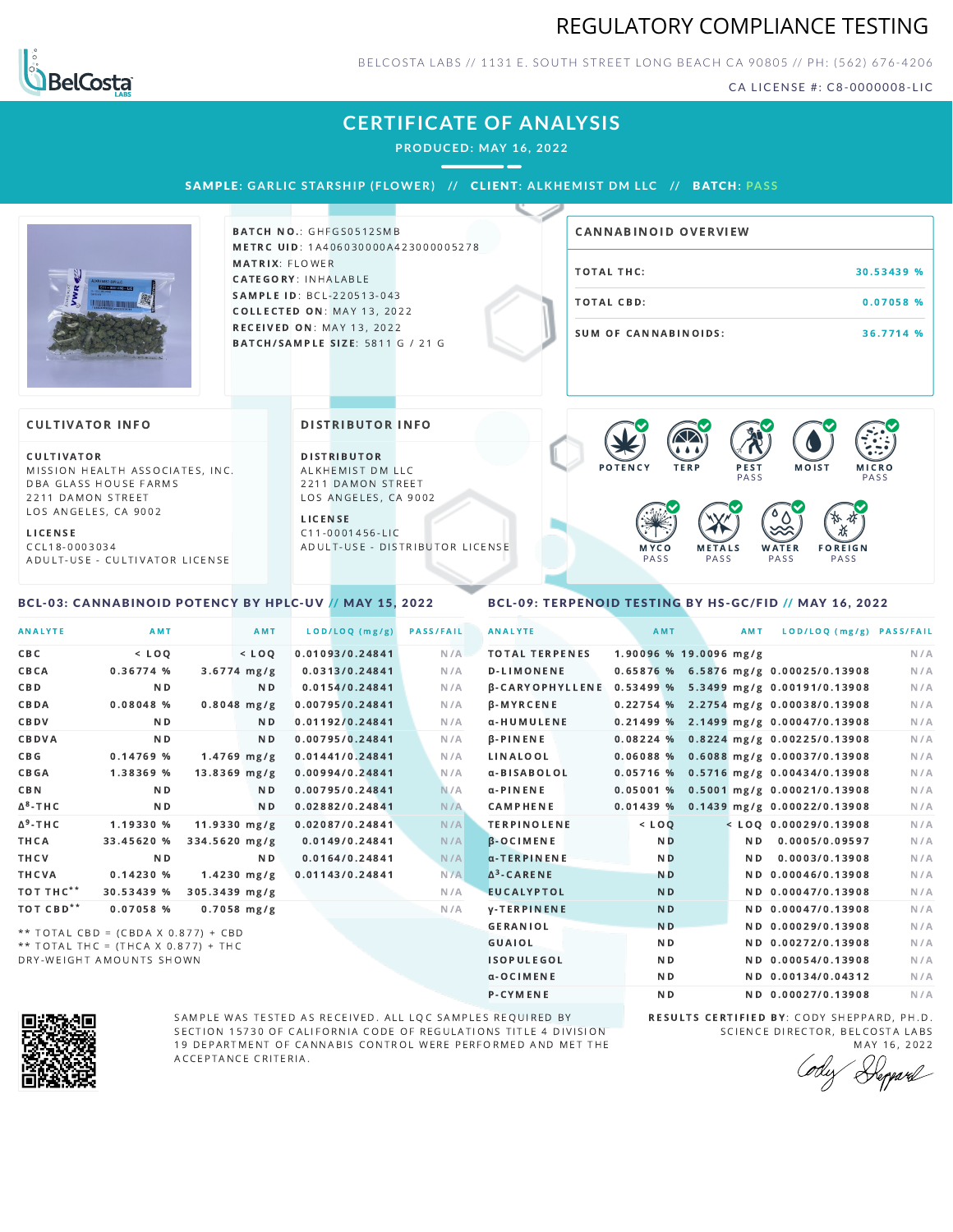### REGULATORY COMPLIANCE TESTING



BELCOSTA LABS // 1131 E. SOUTH STREET LONG BEACH C A 90805 // PH: (562) 676-4206

CA LICENSE #: C8-0000008-LIC

# **CERTIFICATE OF ANALYSIS**

**PRODUCED: MAY 16, 2022**

SAMPLE: GARLIC STARSHIP (FLOWER) // CLIENT: ALKHEMIST DM LLC // BATCH: PASS



BATCH NO.: GHFGS0512SMB METRC UID: 1A406030000A423000005278 MATRIX: FLOWER CATEGORY: INHALABLE SAMPLE ID: BCL-220513-043 COLLECTED ON: MAY 13, 2022 **RECEIVED ON: MAY 13, 2022** BATCH/SAMPLE SIZE: 5811 G / 21 G

# TOTAL THC: 30.53439 % TOTAL CBD: 0.07058 % SUM OF CANNABINOIDS: 36.7714 % CANNABINOID OVERVIEW

#### **CULTIVATOR INFO**

CULTIVATOR MISSION HEALTH ASSOCIATES, INC. DBA GLASS HOUSE FARMS 2211 DAMON STREET LOS ANGELES, CA 9002

L I C E N S E

C C L 1 8 - 0 0 0 3 0 3 4 A D U L T - U S E - C U L T I V A T O R L I CENSE

<span id="page-0-0"></span>BCL-03: CANNABINOID POTENCY BY HPLC-UV // MAY 15, 2022

DISTRIBUTOR INFO

D I STRIBUTOR ALKHEMIST DM LLC 2211 DAMON STREET LOS ANGELES, CA 9002

L I C E N S E C 1 1 - 0 0 0 1 4 5 6 - L I C A D U L T - U S E - D I STRIBUTOR LICENSE



### <span id="page-0-1"></span>BCL-09: TERPENOID TESTING BY HS-GC/FID // MAY 16, 2022

| <b>ANALYTE</b>        | AMT                                   |                | <b>AMT</b>     | LOD/LOQ (mg/g)  | <b>PASS/FAIL</b> | <b>ANALYTE</b>                                        | AMT                    | <b>AMT</b>     | LOD/LOQ (mg/g) PASS/FAIL                |     |
|-----------------------|---------------------------------------|----------------|----------------|-----------------|------------------|-------------------------------------------------------|------------------------|----------------|-----------------------------------------|-----|
| CBC                   | $<$ LOO                               |                | $<$ LOQ        | 0.01093/0.24841 | N/A              | <b>TOTAL TERPENES</b>                                 | 1.90096 % 19.0096 mg/g |                |                                         | N/A |
| CBCA                  | 0.36774%                              |                | $3.6774$ mg/g  | 0.0313/0.24841  | N/A              | <b>D-LIMONENE</b>                                     |                        |                | 0.65876 % 6.5876 mg/g 0.00025/0.13908   | N/A |
| <b>CBD</b>            | N <sub>D</sub>                        |                | N <sub>D</sub> | 0.0154/0.24841  | N/A              | B-CARYOPHYLLENE 0.53499 % 5.3499 mg/g 0.00191/0.13908 |                        |                |                                         | N/A |
| CBDA                  | 0.08048%                              |                | $0.8048$ mg/g  | 0.00795/0.24841 | N/A              | <b>β</b> -MYRCENE                                     |                        |                | $0.22754$ % 2.2754 mg/g 0.00038/0.13908 | N/A |
| CBDV                  | N <sub>D</sub>                        |                | N <sub>D</sub> | 0.01192/0.24841 | N/A              | α-HUMULENE                                            |                        |                | $0.21499\%$ 2.1499 mg/g 0.00047/0.13908 | N/A |
| CBDVA                 | N <sub>D</sub>                        |                | N <sub>D</sub> | 0.00795/0.24841 | N/A              | <b>B-PINENE</b>                                       |                        |                | 0.08224 % 0.8224 mg/g 0.00225/0.13908   | N/A |
| C B G                 | 0.14769 %                             |                | $1.4769$ mg/g  | 0.01441/0.24841 | N/A              | LINALOOL                                              | 0.06088%               |                | $0.6088$ mg/g $0.00037/0.13908$         | N/A |
| <b>CBGA</b>           | 1.38369 %                             |                | $13.8369$ mg/g | 0.00994/0.24841 | N/A              | α-BISABOLOL                                           |                        |                | 0.05716 % 0.5716 mg/g 0.00434/0.13908   | N/A |
| CBN                   | N <sub>D</sub>                        |                | N <sub>D</sub> | 0.00795/0.24841 | N/A              | $\alpha$ -PINENE                                      |                        |                | 0.05001 % 0.5001 mg/g 0.00021/0.13908   | N/A |
| $\Delta^8$ -THC       | N <sub>D</sub>                        |                | N <sub>D</sub> | 0.02882/0.24841 | N/A              | <b>CAMPHENE</b>                                       | 0.01439%               |                | 0.1439 mg/g 0.00022/0.13908             | N/A |
| $\Delta^9$ -THC       | 1.19330 %                             | $11.9330$ mg/g |                | 0.02087/0.24841 | N/A              | <b>TERPINOLENE</b>                                    | $<$ LOO                |                | $<$ LOO 0.00029/0.13908                 | N/A |
| THCA                  | 33.45620 %                            | 334.5620 mg/g  |                | 0.0149/0.24841  | N/A              | <b>B-OCIMENE</b>                                      | N <sub>D</sub>         | N <sub>D</sub> | 0.0005/0.09597                          | N/A |
| THCV                  | <b>ND</b>                             |                | N <sub>D</sub> | 0.0164/0.24841  | N/A              | a-TERPINENE                                           | N <sub>D</sub>         | N <sub>D</sub> | 0.0003/0.13908                          | N/A |
| THCVA                 | 0.14230%                              |                | $1.4230$ mg/g  | 0.01143/0.24841 | N/A              | $\Delta^3$ -CARENE                                    | <b>ND</b>              |                | ND 0.00046/0.13908                      | N/A |
| TOT THC <sup>**</sup> | 30.53439 %                            | 305.3439 mg/g  |                |                 | N/A              | <b>EUCALYPTOL</b>                                     | <b>ND</b>              |                | ND 0.00047/0.13908                      | N/A |
| TOT CBD <sup>**</sup> | 0.07058 %                             |                | $0.7058$ mg/g  |                 | N/A              | <b>y-TERPINENE</b>                                    | <b>ND</b>              |                | ND 0.00047/0.13908                      | N/A |
|                       | ** TOTAL CBD = (CBDA X 0.877) + CBD   |                |                |                 |                  | <b>GERANIOL</b>                                       | <b>ND</b>              |                | ND 0.00029/0.13908                      | N/A |
|                       | ** TOTAL THC = $(THCA X 0.877) + THC$ |                |                |                 |                  | GUAIOL                                                | N <sub>D</sub>         |                | ND 0.00272/0.13908                      | N/A |
|                       | DRY-WEIGHT AMOUNTS SHOWN              |                |                |                 |                  | <b>ISOPULEGOL</b>                                     | <b>ND</b>              |                | ND 0.00054/0.13908                      | N/A |



SAMPLE WAS TESTED AS RECEIVED. ALL LQC SAMPLES REQUIRED BY SECTION 15730 OF CALIFORNIA CODE OF REGULATIONS TITLE 4 DIVISION 19 DEPARTMENT OF CANNABIS CONTROL WERE PERFORMED AND MET THE A C C E P T A N C E C R I T E R I A.

RESULTS CERTIFIED BY: CODY SHEPPARD, PH.D. SCIENCE DIRECTOR, BELCOSTA LABS MAY 16, 2022

α-OCIMENE ND ND ND 0.00134/0.04312 N/A P-CYMENE ND ND ND 0.00027/0.13908 N/A

Deppard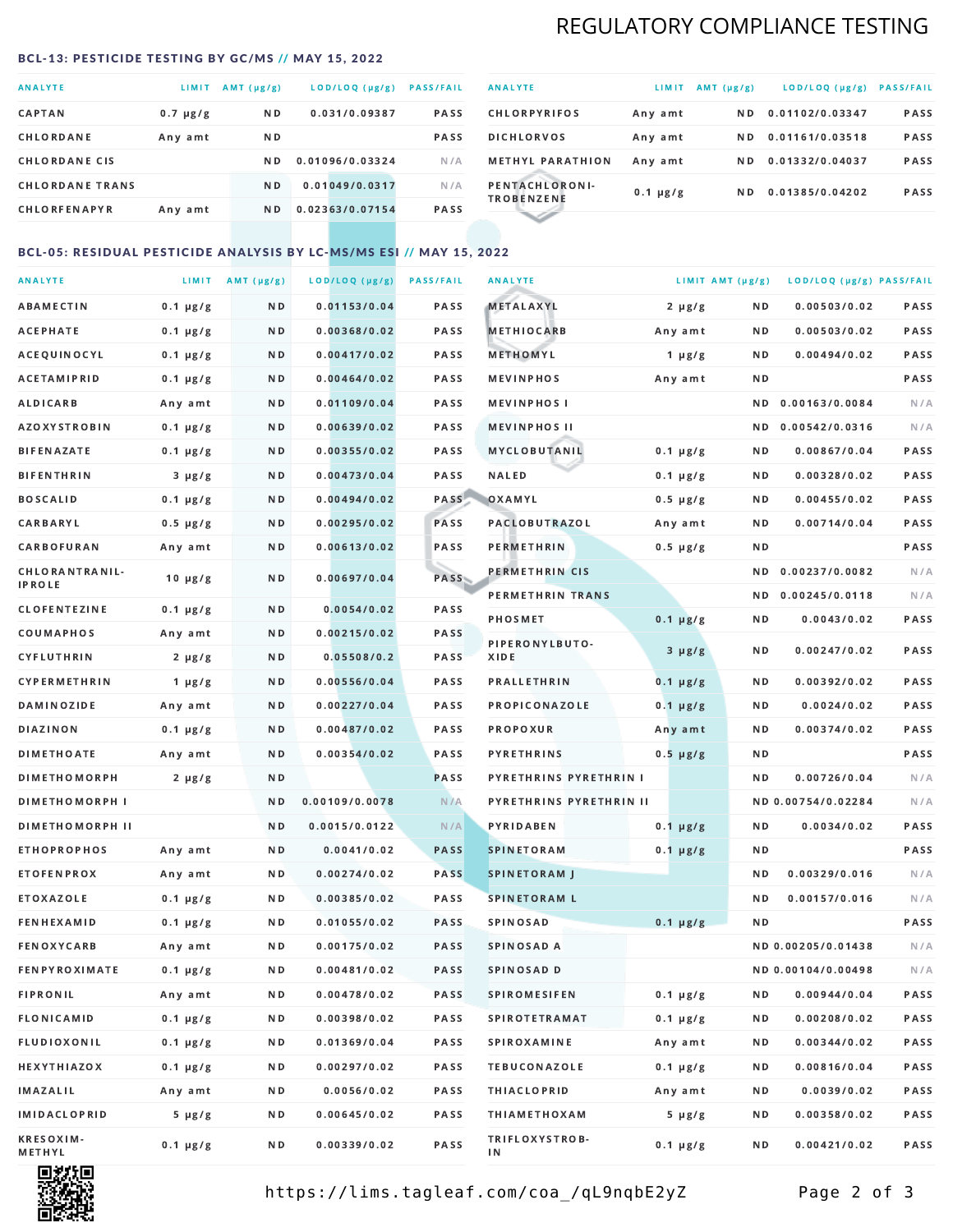# REGULATORY COMPLIANCE TESTING

#### <span id="page-1-0"></span>BCL-13: PESTICIDE TESTING BY GC/MS // MAY 15, 2022

| <b>ANALYTE</b>         | LIMIT.        | AMT $(\mu g/g)$ | LOD/LOQ (µg/g)  | <b>PASS/FAIL</b> |
|------------------------|---------------|-----------------|-----------------|------------------|
| <b>CAPTAN</b>          | $0.7 \mu g/g$ | N <sub>D</sub>  | 0.031/0.09387   | <b>PASS</b>      |
| CHLORDANE              | Any amt       | ND.             |                 | <b>PASS</b>      |
| <b>CHLORDANE CIS</b>   |               | ND.             | 0.01096/0.03324 | N/A              |
| <b>CHLORDANE TRANS</b> |               | N <sub>D</sub>  | 0.01049/0.0317  | N/A              |
| <b>CHLORFENAPYR</b>    | Any amt       | N <sub>D</sub>  | 0.02363/0.07154 | <b>PASS</b>      |

| <b>ANALYTE</b>                      | LIMIT         | $AMT(\mu g/g)$ | LOD/LOQ (µg/g)  | <b>PASS/FAIL</b> |
|-------------------------------------|---------------|----------------|-----------------|------------------|
| <b>CHLORPYRIFOS</b>                 | Any amt       | N D            | 0.01102/0.03347 | <b>PASS</b>      |
| <b>DICHLORVOS</b>                   | Any amt       | N D.           | 0.01161/0.03518 | PASS             |
| <b>METHYL PARATHION</b>             | Any amt       | ND.            | 0.01332/0.04037 | <b>PASS</b>      |
| PENTACHLORONI-<br><b>TROBENZENE</b> | $0.1 \mu g/g$ | ND.            | 0.01385/0.04202 | <b>PASS</b>      |
|                                     |               |                |                 |                  |

### BCL-05: RESIDUAL PESTICIDE ANALYSIS BY LC-MS/MS ESI // MAY 15, 2022

| <b>ANALYTE</b>         |               | LIMIT $AMT(\mu g/g)$ | LOD/LOQ (µg/g) | <b>PASS/FAIL</b> | <b>ANALYTE</b>                | LIMIT AMT (µg/g) |     | LOD/LOQ (µg/g) PASS/FAIL |      |
|------------------------|---------------|----------------------|----------------|------------------|-------------------------------|------------------|-----|--------------------------|------|
| <b>ABAMECTIN</b>       | $0.1 \mu g/g$ | N D                  | 0.01153/0.04   | PASS             | <b>METALAXYL</b>              | $2 \mu g/g$      | N D | 0.00503/0.02             | PASS |
| <b>ACEPHATE</b>        | $0.1 \mu g/g$ | N D                  | 0.00368/0.02   | <b>PASS</b>      | <b>METHIOCARB</b>             | Any amt          | N D | 0.00503/0.02             | PASS |
| ACEQUINOCYL            | $0.1 \mu g/g$ | N D                  | 0.00417/0.02   | <b>PASS</b>      | METHOMYL                      | $1 \mu g/g$      | N D | 0.00494/0.02             | PASS |
| <b>ACETAMIPRID</b>     | $0.1 \mu g/g$ | N D                  | 0.00464/0.02   | PASS             | <b>MEVINPHOS</b>              | Any amt          | N D |                          | PASS |
| ALDICARB               | Any amt       | N D                  | 0.01109/0.04   | PASS             | <b>MEVINPHOSI</b>             |                  | N D | 0.00163/0.0084           | N/A  |
| <b>AZOXYSTROBIN</b>    | $0.1 \mu g/g$ | N D                  | 0.00639/0.02   | PASS             | <b>MEVINPHOS II</b>           |                  | N D | 0.00542/0.0316           | N/A  |
| <b>BIFENAZATE</b>      | $0.1 \mu g/g$ | N D                  | 0.00355/0.02   | PASS             | <b>MYCLOBUTANIL</b>           | $0.1 \mu g/g$    | N D | 0.00867/0.04             | PASS |
| <b>BIFENTHRIN</b>      | $3 \mu g/g$   | N D                  | 0.00473/0.04   | PASS             | <b>NALED</b>                  | $0.1 \mu g/g$    | N D | 0.00328/0.02             | PASS |
| <b>BOSCALID</b>        | $0.1 \mu g/g$ | N D                  | 0.00494/0.02   | PASS             | OXAMYL                        | $0.5 \mu g/g$    | N D | 0.00455/0.02             | PASS |
| <b>CARBARYL</b>        | $0.5 \mu g/g$ | N D                  | 0.00295/0.02   | PASS             | <b>PACLOBUTRAZOL</b>          | Any amt          | N D | 0.00714/0.04             | PASS |
| CARBOFURAN             | Any amt       | N D                  | 0.00613/0.02   | PASS             | <b>PERMETHRIN</b>             | $0.5 \, \mu g/g$ | N D |                          | PASS |
| CHLORANTRANIL-         | $10 \mu g/g$  | N D                  | 0.00697/0.04   | PASS             | PERMETHRIN CIS                |                  | N D | 0.00237/0.0082           | N/A  |
| <b>IPROLE</b>          |               |                      |                |                  | PERMETHRIN TRANS              |                  |     | ND 0.00245/0.0118        | N/A  |
| <b>CLOFENTEZINE</b>    | $0.1 \mu g/g$ | N D                  | 0.0054/0.02    | PASS             | <b>PHOSMET</b>                | $0.1 \mu g/g$    | N D | 0.0043/0.02              | PASS |
| COUMAPHOS              | Any amt       | N D                  | 0.00215/0.02   | PASS             | PIPERONYLBUTO-                | $3 \mu g/g$      | N D | 0.00247/0.02             | PASS |
| <b>CYFLUTHRIN</b>      | $2 \mu g/g$   | N D                  | 0.05508/0.2    | <b>PASS</b>      | XIDE                          |                  |     |                          |      |
| <b>CYPERMETHRIN</b>    | 1 $\mu$ g/g   | N D                  | 0.00556/0.04   | PASS             | <b>PRALLETHRIN</b>            | $0.1 \mu g/g$    | N D | 0.00392/0.02             | PASS |
| <b>DAMINOZIDE</b>      | Any amt       | N D                  | 0.00227/0.04   | PASS             | PROPICONAZOLE                 | $0.1 \mu g/g$    | N D | 0.0024/0.02              | PASS |
| <b>DIAZINON</b>        | $0.1 \mu g/g$ | N D                  | 0.00487/0.02   | PASS             | PROPOXUR                      | Any amt          | N D | 0.00374/0.02             | PASS |
| <b>DIMETHOATE</b>      | Any amt       | N D                  | 0.00354/0.02   | PASS             | <b>PYRETHRINS</b>             | $0.5 \mu g/g$    | N D |                          | PASS |
| <b>DIMETHOMORPH</b>    | 2 µg/g        | N D                  |                | PASS             | <b>PYRETHRINS PYRETHRIN I</b> |                  | ND. | 0.00726/0.04             | N/A  |
| <b>DIMETHOMORPH I</b>  |               | N D                  | 0.00109/0.0078 | N/A              | PYRETHRINS PYRETHRIN II       |                  |     | ND 0.00754/0.02284       | N/A  |
| <b>DIMETHOMORPH II</b> |               | N D                  | 0.0015/0.0122  | N/A              | <b>PYRIDABEN</b>              | $0.1 \mu g/g$    | N D | 0.0034/0.02              | PASS |
| <b>ETHOPROPHOS</b>     | Any amt       | N D                  | 0.0041/0.02    | <b>PASS</b>      | <b>SPINETORAM</b>             | $0.1 \mu g/g$    | N D |                          | PASS |
| <b>ETOFENPROX</b>      | Any amt       | N D                  | 0.00274/0.02   | <b>PASS</b>      | <b>SPINETORAM J</b>           |                  | N D | 0.00329/0.016            | N/A  |
| ETOXAZOLE              | $0.1 \mu g/g$ | N D                  | 0.00385/0.02   | <b>PASS</b>      | <b>SPINETORAM L</b>           |                  | N D | 0.00157/0.016            | N/A  |
| <b>FENHEXAMID</b>      | $0.1 \mu g/g$ | N D                  | 0.01055/0.02   | PASS             | <b>SPINOSAD</b>               | $0.1 \mu g/g$    | N D |                          | PASS |
| <b>FENOXYCARB</b>      | Any amt       | N D                  | 0.00175/0.02   | <b>PASS</b>      | SPINOSAD A                    |                  |     | ND 0.00205/0.01438       | N/A  |
| <b>FENPYROXIMATE</b>   | $0.1 \mu g/g$ | N D                  | 0.00481/0.02   | <b>PASS</b>      | SPINOSAD D                    |                  |     | ND 0.00104/0.00498       | N/A  |
| <b>FIPRONIL</b>        | Any amt       | N D                  | 0.00478/0.02   | PASS             | <b>SPIROMESIFEN</b>           | $0.1 \mu g/g$    | N D | 0.00944/0.04             | PASS |
| <b>FLONICAMID</b>      | $0.1 \mu g/g$ | N D                  | 0.00398/0.02   | PASS             | <b>SPIROTETRAMAT</b>          | $0.1 \mu g/g$    | N D | 0.00208/0.02             | PASS |
| FLUDIOXONIL            | $0.1 \mu g/g$ | N D                  | 0.01369/0.04   | PASS             | <b>SPIROXAMINE</b>            | Any amt          | N D | 0.00344/0.02             | PASS |
| <b>HEXYTHIAZOX</b>     | $0.1 \mu g/g$ | N D                  | 0.00297/0.02   | PASS             | <b>TEBUCONAZOLE</b>           | $0.1 \mu g/g$    | N D | 0.00816/0.04             | PASS |
| <b>IMAZALIL</b>        | Any amt       | N D                  | 0.0056/0.02    | PASS             | <b>THIACLOPRID</b>            | Any amt          | N D | 0.0039/0.02              | PASS |
| <b>IMIDACLOPRID</b>    | $5 \mu g/g$   | N D                  | 0.00645/0.02   | PASS             | <b>THIAMETHOXAM</b>           | $5 \mu g/g$      | N D | 0.00358/0.02             | PASS |
| KRESOXIM-<br>METHYL    | $0.1 \mu g/g$ | N D                  | 0.00339/0.02   | PASS             | TRIFLOXYSTROB-<br>ΙN          | 0.1 µg/g         | N D | 0.00421/0.02             | PASS |